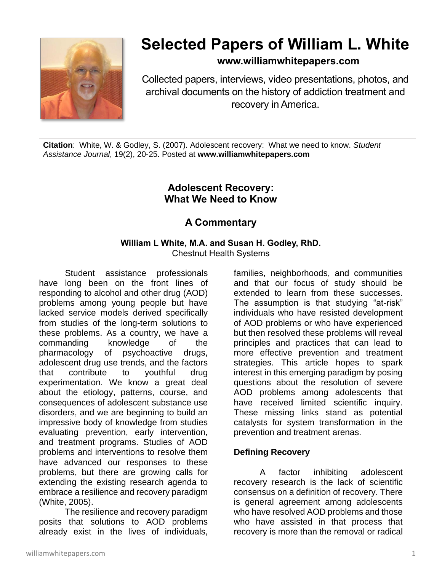

# **Selected Papers of William L. White**

**www.williamwhitepapers.com**

Collected papers, interviews, video presentations, photos, and archival documents on the history of addiction treatment and recovery in America.

**Citation**: White, W. & Godley, S. (2007). Adolescent recovery: What we need to know. *Student Assistance Journal*, 19(2), 20-25. Posted at **www.williamwhitepapers.com**

# **Adolescent Recovery: What We Need to Know**

# **A Commentary**

# **William L White, M.A. and Susan H. Godley, RhD.**

Chestnut Health Systems

Student assistance professionals have long been on the front lines of responding to alcohol and other drug (AOD) problems among young people but have lacked service models derived specifically from studies of the long-term solutions to these problems. As a country, we have a commanding knowledge of the pharmacology of psychoactive drugs, adolescent drug use trends, and the factors that contribute to youthful drug experimentation. We know a great deal about the etiology, patterns, course, and consequences of adolescent substance use disorders, and we are beginning to build an impressive body of knowledge from studies evaluating prevention, early intervention, and treatment programs. Studies of AOD problems and interventions to resolve them have advanced our responses to these problems, but there are growing calls for extending the existing research agenda to embrace a resilience and recovery paradigm (White, 2005).

The resilience and recovery paradigm posits that solutions to AOD problems already exist in the lives of individuals,

families, neighborhoods, and communities and that our focus of study should be extended to learn from these successes. The assumption is that studying "at-risk" individuals who have resisted development of AOD problems or who have experienced but then resolved these problems will reveal principles and practices that can lead to more effective prevention and treatment strategies. This article hopes to spark interest in this emerging paradigm by posing questions about the resolution of severe AOD problems among adolescents that have received limited scientific inquiry. These missing links stand as potential catalysts for system transformation in the prevention and treatment arenas.

## **Defining Recovery**

A factor inhibiting adolescent recovery research is the lack of scientific consensus on a definition of recovery. There is general agreement among adolescents who have resolved AOD problems and those who have assisted in that process that recovery is more than the removal or radical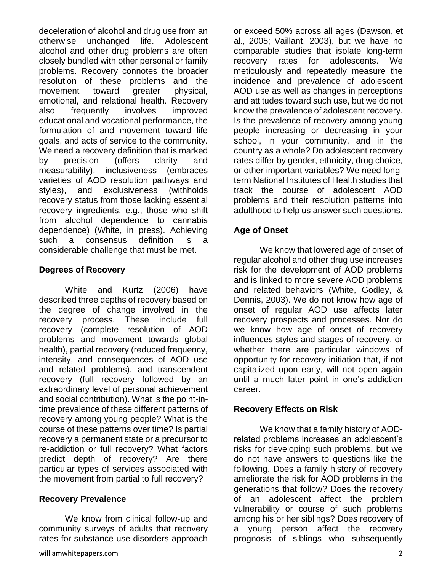deceleration of alcohol and drug use from an otherwise unchanged life. Adolescent alcohol and other drug problems are often closely bundled with other personal or family problems. Recovery connotes the broader resolution of these problems and the movement toward greater physical, emotional, and relational health. Recovery also frequently involves improved educational and vocational performance, the formulation of and movement toward life goals, and acts of service to the community. We need a recovery definition that is marked by precision (offers clarity and measurability), inclusiveness (embraces varieties of AOD resolution pathways and styles), and exclusiveness (withholds recovery status from those lacking essential recovery ingredients, e.g., those who shift from alcohol dependence to cannabis dependence) (White, in press). Achieving such a consensus definition is a considerable challenge that must be met.

#### **Degrees of Recovery**

White and Kurtz (2006) have described three depths of recovery based on the degree of change involved in the recovery process. These include full recovery (complete resolution of AOD problems and movement towards global health), partial recovery (reduced frequency, intensity, and consequences of AOD use and related problems), and transcendent recovery (full recovery followed by an extraordinary level of personal achievement and social contribution). What is the point-intime prevalence of these different patterns of recovery among young people? What is the course of these patterns over time? Is partial recovery a permanent state or a precursor to re-addiction or full recovery? What factors predict depth of recovery? Are there particular types of services associated with the movement from partial to full recovery?

#### **Recovery Prevalence**

We know from clinical follow-up and community surveys of adults that recovery rates for substance use disorders approach or exceed 50% across all ages (Dawson, et al., 2005; Vaillant, 2003), but we have no comparable studies that isolate long-term recovery rates for adolescents. We meticulously and repeatedly measure the incidence and prevalence of adolescent AOD use as well as changes in perceptions and attitudes toward such use, but we do not know the prevalence of adolescent recovery. Is the prevalence of recovery among young people increasing or decreasing in your school, in your community, and in the country as a whole? Do adolescent recovery rates differ by gender, ethnicity, drug choice, or other important variables? We need longterm National Institutes of Health studies that track the course of adolescent AOD problems and their resolution patterns into adulthood to help us answer such questions.

## **Age of Onset**

We know that lowered age of onset of regular alcohol and other drug use increases risk for the development of AOD problems and is linked to more severe AOD problems and related behaviors (White, Godley, & Dennis, 2003). We do not know how age of onset of regular AOD use affects later recovery prospects and processes. Nor do we know how age of onset of recovery influences styles and stages of recovery, or whether there are particular windows of opportunity for recovery initiation that, if not capitalized upon early, will not open again until a much later point in one's addiction career.

#### **Recovery Effects on Risk**

We know that a family history of AODrelated problems increases an adolescent's risks for developing such problems, but we do not have answers to questions like the following. Does a family history of recovery ameliorate the risk for AOD problems in the generations that follow? Does the recovery of an adolescent affect the problem vulnerability or course of such problems among his or her siblings? Does recovery of a young person affect the recovery prognosis of siblings who subsequently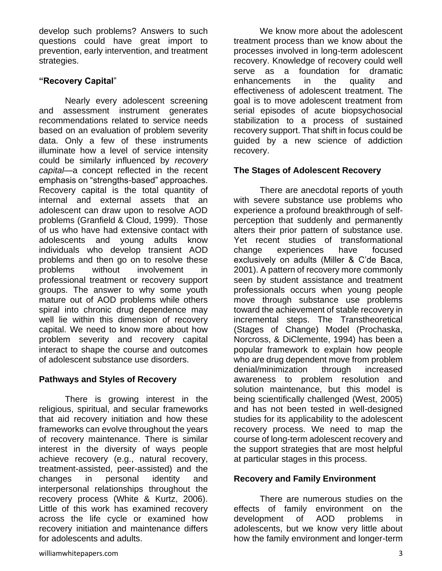develop such problems? Answers to such questions could have great import to prevention, early intervention, and treatment strategies.

#### **"Recovery Capital**"

Nearly every adolescent screening and assessment instrument generates recommendations related to service needs based on an evaluation of problem severity data. Only a few of these instruments illuminate how a level of service intensity could be similarly influenced by *recovery capital—*a concept reflected in the recent emphasis on "strengths-based" approaches. Recovery capital is the total quantity of internal and external assets that an adolescent can draw upon to resolve AOD problems (Granfield & Cloud, 1999). Those of us who have had extensive contact with adolescents and young adults know individuals who develop transient AOD problems and then go on to resolve these problems without involvement in professional treatment or recovery support groups. The answer to why some youth mature out of AOD problems while others spiral into chronic drug dependence may well lie within this dimension of recovery capital. We need to know more about how problem severity and recovery capital interact to shape the course and outcomes of adolescent substance use disorders.

#### **Pathways and Styles of Recovery**

There is growing interest in the religious, spiritual, and secular frameworks that aid recovery initiation and how these frameworks can evolve throughout the years of recovery maintenance. There is similar interest in the diversity of ways people achieve recovery (e.g., natural recovery, treatment-assisted, peer-assisted) and the changes in personal identity and interpersonal relationships throughout the recovery process (White & Kurtz, 2006). Little of this work has examined recovery across the life cycle or examined how recovery initiation and maintenance differs for adolescents and adults.

We know more about the adolescent treatment process than we know about the processes involved in long-term adolescent recovery. Knowledge of recovery could well serve as a foundation for dramatic enhancements in the quality and effectiveness of adolescent treatment. The goal is to move adolescent treatment from serial episodes of acute biopsychosocial stabilization to a process of sustained recovery support. That shift in focus could be guided by a new science of addiction recovery.

#### **The Stages of Adolescent Recovery**

There are anecdotal reports of youth with severe substance use problems who experience a profound breakthrough of selfperception that suddenly and permanently alters their prior pattern of substance use. Yet recent studies of transformational change experiences have focused exclusively on adults (Miller & C'de Baca, 2001). A pattern of recovery more commonly seen by student assistance and treatment professionals occurs when young people move through substance use problems toward the achievement of stable recovery in incremental steps. The Transtheoretical (Stages of Change) Model (Prochaska, Norcross, & DiClemente, 1994) has been a popular framework to explain how people who are drug dependent move from problem denial/minimization through increased awareness to problem resolution and solution maintenance, but this model is being scientifically challenged (West, 2005) and has not been tested in well-designed studies for its applicability to the adolescent recovery process. We need to map the course of long-term adolescent recovery and the support strategies that are most helpful at particular stages in this process.

#### **Recovery and Family Environment**

There are numerous studies on the effects of family environment on the development of AOD problems in adolescents, but we know very little about how the family environment and longer-term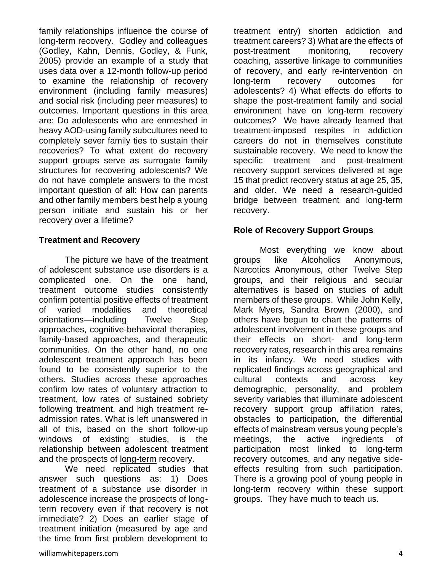family relationships influence the course of long-term recovery. Godley and colleagues (Godley, Kahn, Dennis, Godley, & Funk, 2005) provide an example of a study that uses data over a 12-month follow-up period to examine the relationship of recovery environment (including family measures) and social risk (including peer measures) to outcomes. Important questions in this area are: Do adolescents who are enmeshed in heavy AOD-using family subcultures need to completely sever family ties to sustain their recoveries? To what extent do recovery support groups serve as surrogate family structures for recovering adolescents? We do not have complete answers to the most important question of all: How can parents and other family members best help a young person initiate and sustain his or her recovery over a lifetime?

#### **Treatment and Recovery**

The picture we have of the treatment of adolescent substance use disorders is a complicated one. On the one hand, treatment outcome studies consistently confirm potential positive effects of treatment of varied modalities and theoretical orientations—including Twelve Step approaches, cognitive-behavioral therapies, family-based approaches, and therapeutic communities. On the other hand, no one adolescent treatment approach has been found to be consistently superior to the others. Studies across these approaches confirm low rates of voluntary attraction to treatment, low rates of sustained sobriety following treatment, and high treatment readmission rates. What is left unanswered in all of this, based on the short follow-up windows of existing studies, is the relationship between adolescent treatment and the prospects of long-term recovery.

We need replicated studies that answer such questions as: 1) Does treatment of a substance use disorder in adolescence increase the prospects of longterm recovery even if that recovery is not immediate? 2) Does an earlier stage of treatment initiation (measured by age and the time from first problem development to

treatment entry) shorten addiction and treatment careers? 3) What are the effects of post-treatment monitoring, recovery coaching, assertive linkage to communities of recovery, and early re-intervention on long-term recovery outcomes for adolescents? 4) What effects do efforts to shape the post-treatment family and social environment have on long-term recovery outcomes? We have already learned that treatment-imposed respites in addiction careers do not in themselves constitute sustainable recovery. We need to know the specific treatment and post-treatment recovery support services delivered at age 15 that predict recovery status at age 25, 35, and older. We need a research-guided bridge between treatment and long-term recovery.

#### **Role of Recovery Support Groups**

Most everything we know about groups like Alcoholics Anonymous, Narcotics Anonymous, other Twelve Step groups, and their religious and secular alternatives is based on studies of adult members of these groups. While John Kelly, Mark Myers, Sandra Brown (2000), and others have begun to chart the patterns of adolescent involvement in these groups and their effects on short- and long-term recovery rates, research in this area remains in its infancy. We need studies with replicated findings across geographical and cultural contexts and across key demographic, personality, and problem severity variables that illuminate adolescent recovery support group affiliation rates, obstacles to participation, the differential effects of mainstream versus young people's meetings, the active ingredients of participation most linked to long-term recovery outcomes, and any negative sideeffects resulting from such participation. There is a growing pool of young people in long-term recovery within these support groups. They have much to teach us.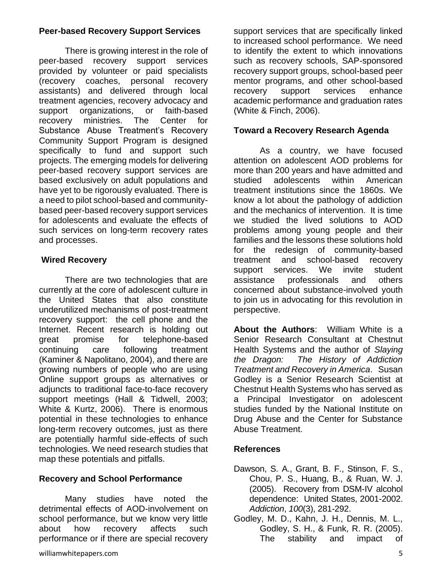# **Peer-based Recovery Support Services**

There is growing interest in the role of peer-based recovery support services provided by volunteer or paid specialists (recovery coaches, personal recovery assistants) and delivered through local treatment agencies, recovery advocacy and support organizations, or faith-based recovery ministries. The Center for Substance Abuse Treatment's Recovery Community Support Program is designed specifically to fund and support such projects. The emerging models for delivering peer-based recovery support services are based exclusively on adult populations and have yet to be rigorously evaluated. There is a need to pilot school-based and communitybased peer-based recovery support services for adolescents and evaluate the effects of such services on long-term recovery rates and processes.

## **Wired Recovery**

There are two technologies that are currently at the core of adolescent culture in the United States that also constitute underutilized mechanisms of post-treatment recovery support: the cell phone and the Internet. Recent research is holding out great promise for telephone-based continuing care following treatment (Kaminer & Napolitano, 2004), and there are growing numbers of people who are using Online support groups as alternatives or adjuncts to traditional face-to-face recovery support meetings (Hall & Tidwell, 2003; White & Kurtz, 2006). There is enormous potential in these technologies to enhance long-term recovery outcomes, just as there are potentially harmful side-effects of such technologies. We need research studies that map these potentials and pitfalls.

# **Recovery and School Performance**

Many studies have noted the detrimental effects of AOD-involvement on school performance, but we know very little about how recovery affects such performance or if there are special recovery support services that are specifically linked to increased school performance. We need to identify the extent to which innovations such as recovery schools, SAP-sponsored recovery support groups, school-based peer mentor programs, and other school-based recovery support services enhance academic performance and graduation rates (White & Finch, 2006).

# **Toward a Recovery Research Agenda**

As a country, we have focused attention on adolescent AOD problems for more than 200 years and have admitted and studied adolescents within American treatment institutions since the 1860s. We know a lot about the pathology of addiction and the mechanics of intervention. It is time we studied the lived solutions to AOD problems among young people and their families and the lessons these solutions hold for the redesign of community-based treatment and school-based recovery support services. We invite student assistance professionals and others concerned about substance-involved youth to join us in advocating for this revolution in perspective.

**About the Authors**: William White is a Senior Research Consultant at Chestnut Health Systems and the author of *Slaying the Dragon: The History of Addiction Treatment and Recovery in America*. Susan Godley is a Senior Research Scientist at Chestnut Health Systems who has served as a Principal Investigator on adolescent studies funded by the National Institute on Drug Abuse and the Center for Substance Abuse Treatment.

# **References**

- Dawson, S. A., Grant, B. F., Stinson, F. S., Chou, P. S., Huang, B., & Ruan, W. J. (2005). Recovery from DSM-IV alcohol dependence: United States, 2001-2002. *Addiction*, *100*(3), 281-292.
- Godley, M. D., Kahn, J. H., Dennis, M. L., Godley, S. H., & Funk, R. R. (2005). The stability and impact of